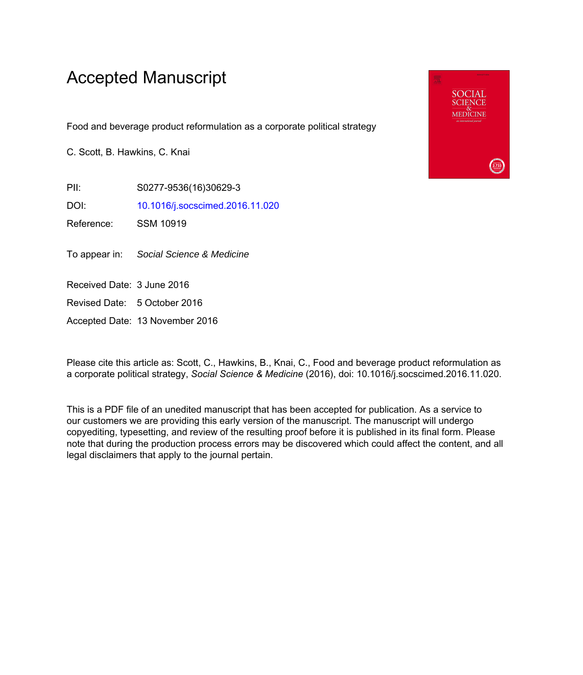## Accepted Manuscript

Food and beverage product reformulation as a corporate political strategy

C. Scott, B. Hawkins, C. Knai

PII: S0277-9536(16)30629-3

DOI: [10.1016/j.socscimed.2016.11.020](http://dx.doi.org/10.1016/j.socscimed.2016.11.020)

Reference: SSM 10919

To appear in: Social Science & Medicine

Received Date: 3 June 2016

Revised Date: 5 October 2016

Accepted Date: 13 November 2016

Please cite this article as: Scott, C., Hawkins, B., Knai, C., Food and beverage product reformulation as a corporate political strategy, *Social Science & Medicine* (2016), doi: 10.1016/j.socscimed.2016.11.020.

This is a PDF file of an unedited manuscript that has been accepted for publication. As a service to our customers we are providing this early version of the manuscript. The manuscript will undergo copyediting, typesetting, and review of the resulting proof before it is published in its final form. Please note that during the production process errors may be discovered which could affect the content, and all legal disclaimers that apply to the journal pertain.

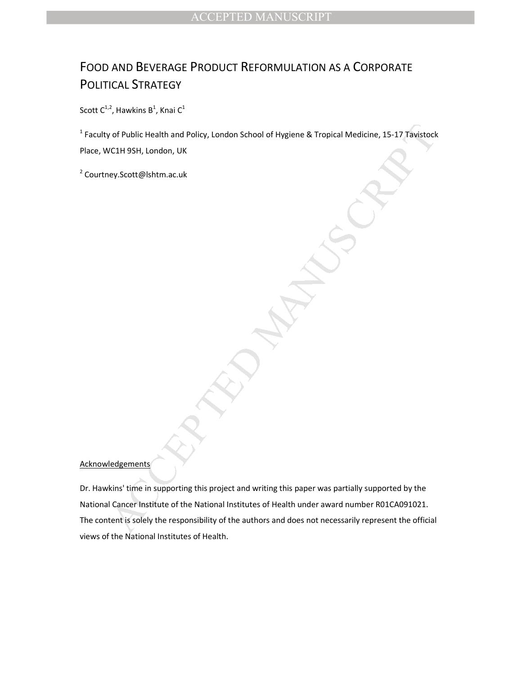## FOOD AND BEVERAGE PRODUCT REFORMULATION AS A CORPORATE POLITICAL STRATEGY

Scott C<sup>1,2</sup>, Hawkins B<sup>1</sup>, Knai C<sup>1</sup>

<sup>1</sup> Faculty of Public Health and Policy, London School of Hygiene & Tropical Medicine, 15-17 Tavistock Place, WC1H 9SH, London, UK

<sup>2</sup> Courtney.Scott@lshtm.ac.uk

## **Acknowledgements**

V of Public Health and Policy, London School of Hygiene & Tropical Medicine, 15-17 Tayistock<br>VCIH 9SH, London, UK<br>Pey.Scott@lshtm.ac.uk<br>Rey.Scott@lshtm.ac.uk<br>Rey.Scott@lshtm.ac.uk<br>Rey.Scott@lshtm.ac.uk<br>Rey.Scott@lshtm.ac.u Dr. Hawkins' time in supporting this project and writing this paper was partially supported by the National Cancer Institute of the National Institutes of Health under award number R01CA091021. The content is solely the responsibility of the authors and does not necessarily represent the official views of the National Institutes of Health.